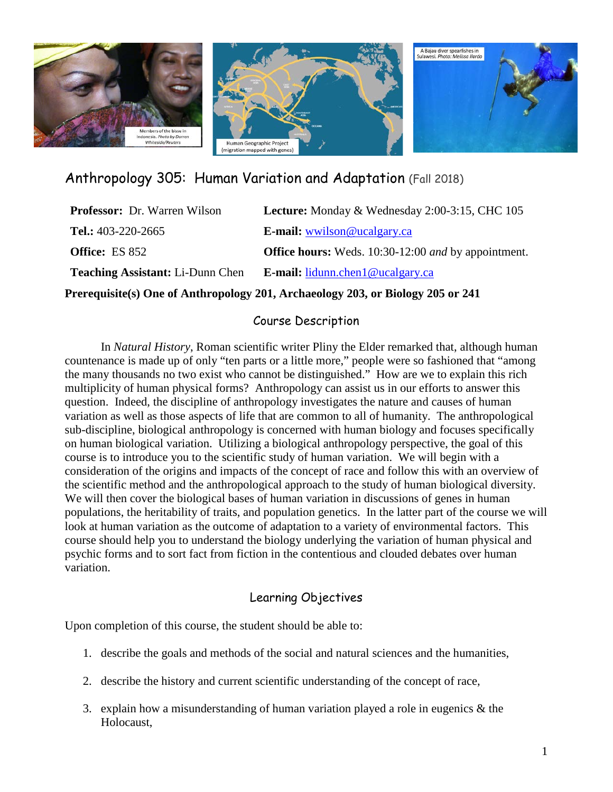

Anthropology 305: Human Variation and Adaptation (Fall 2018)

| <b>Professor:</b> Dr. Warren Wilson     | Lecture: Monday & Wednesday 2:00-3:15, CHC 105             |
|-----------------------------------------|------------------------------------------------------------|
| Tel.: $403-220-2665$                    | <b>E-mail:</b> wwilson@ucalgary.ca                         |
| <b>Office:</b> ES 852                   | <b>Office hours:</b> Weds. 10:30-12:00 and by appointment. |
| <b>Teaching Assistant: Li-Dunn Chen</b> | <b>E-mail:</b> lidunn.chen1@ucalgary.ca                    |
|                                         |                                                            |

**Prerequisite(s) One of Anthropology 201, Archaeology 203, or Biology 205 or 241**

#### Course Description

In *Natural History*, Roman scientific writer Pliny the Elder remarked that, although human countenance is made up of only "ten parts or a little more," people were so fashioned that "among the many thousands no two exist who cannot be distinguished." How are we to explain this rich multiplicity of human physical forms? Anthropology can assist us in our efforts to answer this question. Indeed, the discipline of anthropology investigates the nature and causes of human variation as well as those aspects of life that are common to all of humanity. The anthropological sub-discipline, biological anthropology is concerned with human biology and focuses specifically on human biological variation. Utilizing a biological anthropology perspective, the goal of this course is to introduce you to the scientific study of human variation. We will begin with a consideration of the origins and impacts of the concept of race and follow this with an overview of the scientific method and the anthropological approach to the study of human biological diversity. We will then cover the biological bases of human variation in discussions of genes in human populations, the heritability of traits, and population genetics. In the latter part of the course we will look at human variation as the outcome of adaptation to a variety of environmental factors. This course should help you to understand the biology underlying the variation of human physical and psychic forms and to sort fact from fiction in the contentious and clouded debates over human variation.

### Learning Objectives

Upon completion of this course, the student should be able to:

- 1. describe the goals and methods of the social and natural sciences and the humanities,
- 2. describe the history and current scientific understanding of the concept of race,
- 3. explain how a misunderstanding of human variation played a role in eugenics & the Holocaust,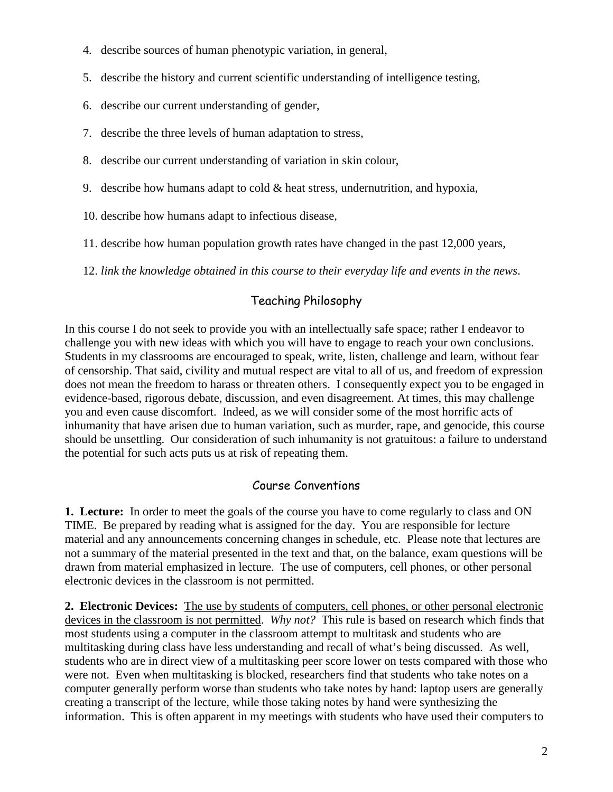- 4. describe sources of human phenotypic variation, in general,
- 5. describe the history and current scientific understanding of intelligence testing,
- 6. describe our current understanding of gender,
- 7. describe the three levels of human adaptation to stress,
- 8. describe our current understanding of variation in skin colour,
- 9. describe how humans adapt to cold  $&$  heat stress, undernutrition, and hypoxia,
- 10. describe how humans adapt to infectious disease,
- 11. describe how human population growth rates have changed in the past 12,000 years,
- 12. *link the knowledge obtained in this course to their everyday life and events in the news*.

# Teaching Philosophy

In this course I do not seek to provide you with an intellectually safe space; rather I endeavor to challenge you with new ideas with which you will have to engage to reach your own conclusions. Students in my classrooms are encouraged to speak, write, listen, challenge and learn, without fear of censorship. That said, civility and mutual respect are vital to all of us, and freedom of expression does not mean the freedom to harass or threaten others. I consequently expect you to be engaged in evidence-based, rigorous debate, discussion, and even disagreement. At times, this may challenge you and even cause discomfort. Indeed, as we will consider some of the most horrific acts of inhumanity that have arisen due to human variation, such as murder, rape, and genocide, this course should be unsettling. Our consideration of such inhumanity is not gratuitous: a failure to understand the potential for such acts puts us at risk of repeating them.

## Course Conventions

**1. Lecture:**In order to meet the goals of the course you have to come regularly to class and ON TIME. Be prepared by reading what is assigned for the day. You are responsible for lecture material and any announcements concerning changes in schedule, etc. Please note that lectures are not a summary of the material presented in the text and that, on the balance, exam questions will be drawn from material emphasized in lecture. The use of computers, cell phones, or other personal electronic devices in the classroom is not permitted.

**2. Electronic Devices:** The use by students of computers, cell phones, or other personal electronic devices in the classroom is not permitted. *Why not?* This rule is based on research which finds that most students using a computer in the classroom attempt to multitask and students who are multitasking during class have less understanding and recall of what's being discussed. As well, students who are in direct view of a multitasking peer score lower on tests compared with those who were not. Even when multitasking is blocked, researchers find that students who take notes on a computer generally perform worse than students who take notes by hand: laptop users are generally creating a transcript of the lecture, while those taking notes by hand were synthesizing the information. This is often apparent in my meetings with students who have used their computers to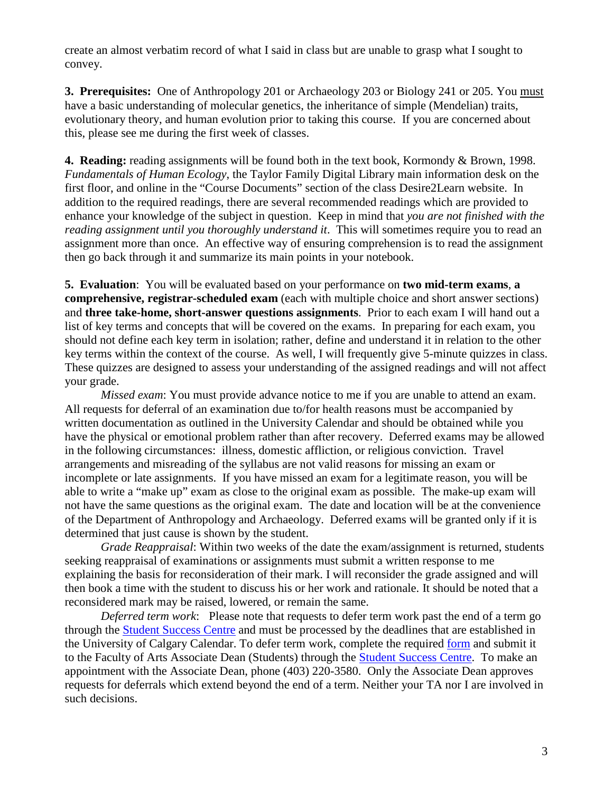create an almost verbatim record of what I said in class but are unable to grasp what I sought to convey.

**3. Prerequisites:** One of Anthropology 201 or Archaeology 203 or Biology 241 or 205. You must have a basic understanding of molecular genetics, the inheritance of simple (Mendelian) traits, evolutionary theory, and human evolution prior to taking this course. If you are concerned about this, please see me during the first week of classes.

**4. Reading:** reading assignments will be found both in the text book, Kormondy & Brown, 1998. *Fundamentals of Human Ecology*, the Taylor Family Digital Library main information desk on the first floor, and online in the "Course Documents" section of the class Desire2Learn website. In addition to the required readings, there are several recommended readings which are provided to enhance your knowledge of the subject in question. Keep in mind that *you are not finished with the reading assignment until you thoroughly understand it*. This will sometimes require you to read an assignment more than once. An effective way of ensuring comprehension is to read the assignment then go back through it and summarize its main points in your notebook.

**5. Evaluation**: You will be evaluated based on your performance on **two mid-term exams**, **a comprehensive, registrar-scheduled exam** (each with multiple choice and short answer sections) and **three take-home, short-answer questions assignments**. Prior to each exam I will hand out a list of key terms and concepts that will be covered on the exams. In preparing for each exam, you should not define each key term in isolation; rather, define and understand it in relation to the other key terms within the context of the course. As well, I will frequently give 5-minute quizzes in class. These quizzes are designed to assess your understanding of the assigned readings and will not affect your grade.

*Missed exam*: You must provide advance notice to me if you are unable to attend an exam. All requests for deferral of an examination due to/for health reasons must be accompanied by written documentation as outlined in the University Calendar and should be obtained while you have the physical or emotional problem rather than after recovery. Deferred exams may be allowed in the following circumstances: illness, domestic affliction, or religious conviction. Travel arrangements and misreading of the syllabus are not valid reasons for missing an exam or incomplete or late assignments. If you have missed an exam for a legitimate reason, you will be able to write a "make up" exam as close to the original exam as possible. The make-up exam will not have the same questions as the original exam. The date and location will be at the convenience of the Department of Anthropology and Archaeology. Deferred exams will be granted only if it is determined that just cause is shown by the student.

*Grade Reappraisal*: Within two weeks of the date the exam/assignment is returned, students seeking reappraisal of examinations or assignments must submit a written response to me explaining the basis for reconsideration of their mark. I will reconsider the grade assigned and will then book a time with the student to discuss his or her work and rationale. It should be noted that a reconsidered mark may be raised, lowered, or remain the same.

*Deferred term work*: Please note that requests to defer term work past the end of a term go through the [Student Success Centre](http://www.ucalgary.ca/ssc/) and must be processed by the deadlines that are established in the University of Calgary Calendar. To defer term work, complete the required [form](https://www.ucalgary.ca/registrar/student-forms) and submit it to the Faculty of Arts Associate Dean (Students) through the [Student Success Centre.](https://www.ucalgary.ca/ssc/) To make an appointment with the Associate Dean, phone (403) 220-3580. Only the Associate Dean approves requests for deferrals which extend beyond the end of a term. Neither your TA nor I are involved in such decisions.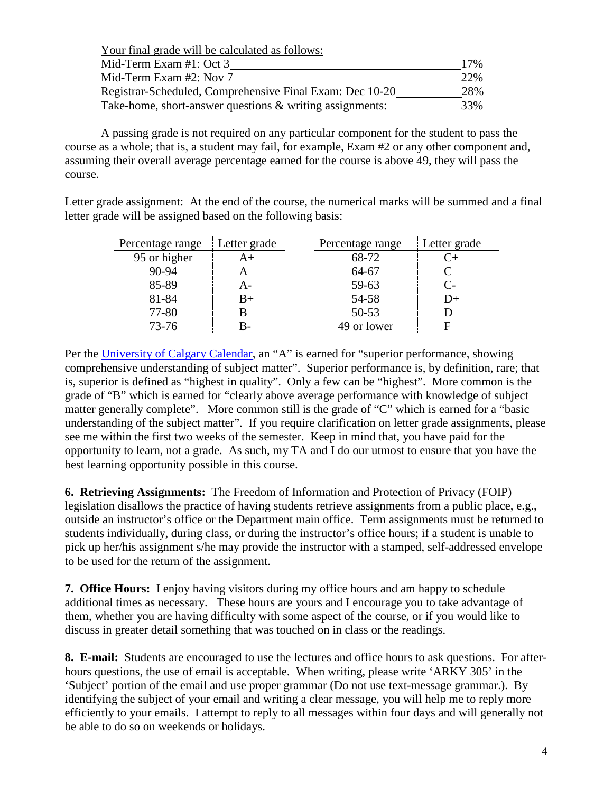Your final grade will be calculated as follows: Mid-Term Exam #1: Oct 3 17% Mid-Term Exam #2: Nov 7 22% Registrar-Scheduled, Comprehensive Final Exam: Dec 10-20 28% Take-home, short-answer questions & writing assignments: 33%

A passing grade is not required on any particular component for the student to pass the course as a whole; that is, a student may fail, for example, Exam #2 or any other component and, assuming their overall average percentage earned for the course is above 49, they will pass the course.

Letter grade assignment: At the end of the course, the numerical marks will be summed and a final letter grade will be assigned based on the following basis:

| Percentage range | Letter grade | Percentage range | Letter grade |
|------------------|--------------|------------------|--------------|
| 95 or higher     | A+           | 68-72            | C+           |
| $90 - 94$        |              | 64-67            |              |
| 85-89            | A-           | 59-63            | $C-$         |
| 81-84            | B+           | 54-58            | $D+$         |
| 77-80            |              | $50 - 53$        |              |
| 73-76            | R-           | 49 or lower      |              |

Per the [University of Calgary Calendar,](https://www.ucalgary.ca/pubs/calendar/archives/2015/f-2.html) an "A" is earned for "superior performance, showing comprehensive understanding of subject matter". Superior performance is, by definition, rare; that is, superior is defined as "highest in quality". Only a few can be "highest". More common is the grade of "B" which is earned for "clearly above average performance with knowledge of subject matter generally complete". More common still is the grade of "C" which is earned for a "basic understanding of the subject matter". If you require clarification on letter grade assignments, please see me within the first two weeks of the semester. Keep in mind that, you have paid for the opportunity to learn, not a grade. As such, my TA and I do our utmost to ensure that you have the best learning opportunity possible in this course.

**6. Retrieving Assignments:** The Freedom of Information and Protection of Privacy (FOIP) legislation disallows the practice of having students retrieve assignments from a public place, e.g., outside an instructor's office or the Department main office. Term assignments must be returned to students individually, during class, or during the instructor's office hours; if a student is unable to pick up her/his assignment s/he may provide the instructor with a stamped, self-addressed envelope to be used for the return of the assignment.

**7. Office Hours:**I enjoy having visitors during my office hours and am happy to schedule additional times as necessary. These hours are yours and I encourage you to take advantage of them, whether you are having difficulty with some aspect of the course, or if you would like to discuss in greater detail something that was touched on in class or the readings.

**8. E-mail:** Students are encouraged to use the lectures and office hours to ask questions. For afterhours questions, the use of email is acceptable. When writing, please write 'ARKY 305' in the 'Subject' portion of the email and use proper grammar (Do not use text-message grammar.). By identifying the subject of your email and writing a clear message, you will help me to reply more efficiently to your emails. I attempt to reply to all messages within four days and will generally not be able to do so on weekends or holidays.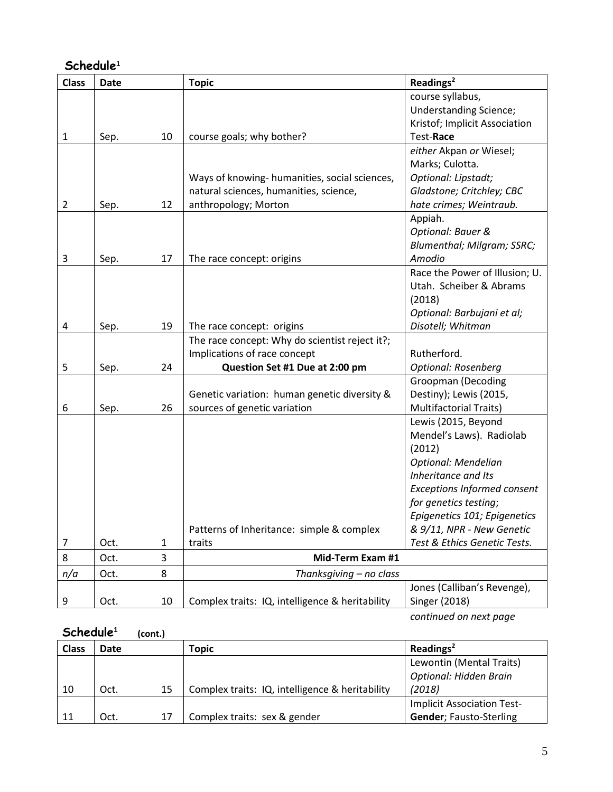## **Schedule<sup>1</sup>**

| <b>Class</b>   | <b>Date</b> |    | <b>Topic</b>                                    | Readings <sup>2</sup>              |
|----------------|-------------|----|-------------------------------------------------|------------------------------------|
|                |             |    |                                                 | course syllabus,                   |
|                |             |    |                                                 | <b>Understanding Science;</b>      |
|                |             |    |                                                 | Kristof; Implicit Association      |
| $\mathbf{1}$   | Sep.        | 10 | course goals; why bother?                       | Test-Race                          |
|                |             |    |                                                 | either Akpan or Wiesel;            |
|                |             |    |                                                 | Marks; Culotta.                    |
|                |             |    | Ways of knowing- humanities, social sciences,   | Optional: Lipstadt;                |
|                |             |    | natural sciences, humanities, science,          | Gladstone; Critchley; CBC          |
| $\overline{2}$ | Sep.        | 12 | anthropology; Morton                            | hate crimes; Weintraub.            |
|                |             |    |                                                 | Appiah.                            |
|                |             |    |                                                 | Optional: Bauer &                  |
|                |             |    |                                                 | Blumenthal; Milgram; SSRC;         |
| 3              | Sep.        | 17 | The race concept: origins                       | Amodio                             |
|                |             |    |                                                 | Race the Power of Illusion; U.     |
|                |             |    |                                                 | Utah. Scheiber & Abrams            |
|                |             |    |                                                 | (2018)                             |
|                |             |    |                                                 | Optional: Barbujani et al;         |
| 4              | Sep.        | 19 | The race concept: origins                       | Disotell; Whitman                  |
|                |             |    | The race concept: Why do scientist reject it?;  |                                    |
|                |             |    | Implications of race concept                    | Rutherford.                        |
| 5              | Sep.        | 24 | Question Set #1 Due at 2:00 pm                  | Optional: Rosenberg                |
|                |             |    |                                                 | <b>Groopman (Decoding</b>          |
|                |             |    | Genetic variation: human genetic diversity &    | Destiny); Lewis (2015,             |
| 6              | Sep.        | 26 | sources of genetic variation                    | <b>Multifactorial Traits)</b>      |
|                |             |    |                                                 | Lewis (2015, Beyond                |
|                |             |    |                                                 | Mendel's Laws). Radiolab           |
|                |             |    |                                                 | (2012)                             |
|                |             |    |                                                 | Optional: Mendelian                |
|                |             |    |                                                 | Inheritance and Its                |
|                |             |    |                                                 | <b>Exceptions Informed consent</b> |
|                |             |    |                                                 | for genetics testing;              |
|                |             |    |                                                 | Epigenetics 101; Epigenetics       |
|                |             |    | Patterns of Inheritance: simple & complex       | & 9/11, NPR - New Genetic          |
| 7              | Oct.        | 1  | traits                                          | Test & Ethics Genetic Tests.       |
| 8              | Oct.        | 3  | Mid-Term Exam #1                                |                                    |
| n/a            | Oct.        | 8  | Thanksgiving - no class                         |                                    |
|                |             |    |                                                 | Jones (Calliban's Revenge),        |
| 9              | Oct.        | 10 | Complex traits: IQ, intelligence & heritability | Singer (2018)                      |

*continued on next page*

# **Schedule<sup>1</sup> (cont.)**

| <b>Class</b> | Date |    | Topic                                           | Readings <sup>2</sup>             |
|--------------|------|----|-------------------------------------------------|-----------------------------------|
|              |      |    |                                                 | Lewontin (Mental Traits)          |
|              |      |    |                                                 | <b>Optional: Hidden Brain</b>     |
| 10           | Oct. | 15 | Complex traits: IQ, intelligence & heritability | (2018)                            |
|              |      |    |                                                 | <b>Implicit Association Test-</b> |
|              | Oct. | 17 | Complex traits: sex & gender                    | <b>Gender</b> ; Fausto-Sterling   |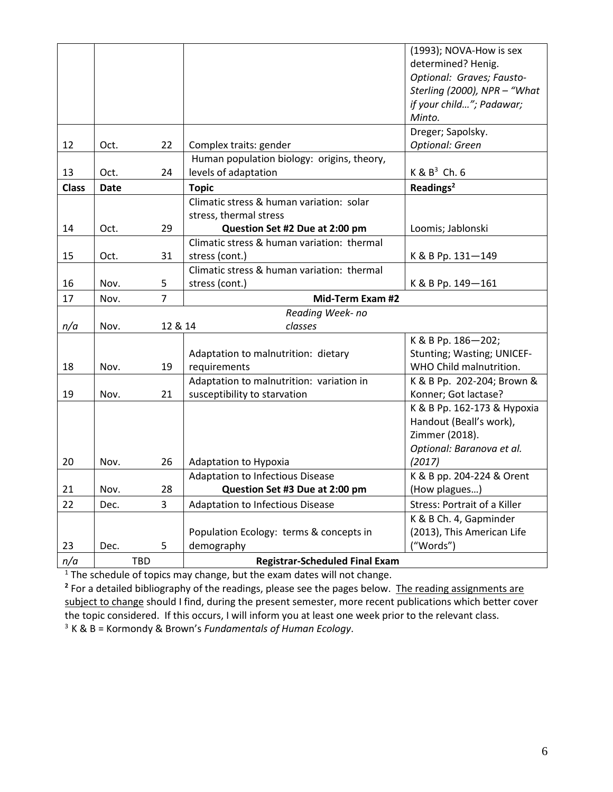|              |                  |         |                                            | (1993); NOVA-How is sex             |
|--------------|------------------|---------|--------------------------------------------|-------------------------------------|
|              |                  |         |                                            | determined? Henig.                  |
|              |                  |         |                                            | Optional: Graves; Fausto-           |
|              |                  |         |                                            | Sterling (2000), NPR - "What        |
|              |                  |         |                                            | if your child"; Padawar;            |
|              |                  |         |                                            | Minto.                              |
|              |                  |         |                                            | Dreger; Sapolsky.                   |
| 12           | Oct.             | 22      | Complex traits: gender                     | Optional: Green                     |
|              |                  |         | Human population biology: origins, theory, |                                     |
| 13           | Oct.             | 24      | levels of adaptation                       | $K$ & $B^3$ Ch. 6                   |
| <b>Class</b> | <b>Date</b>      |         | <b>Topic</b>                               | Readings <sup>2</sup>               |
|              |                  |         | Climatic stress & human variation: solar   |                                     |
|              |                  |         | stress, thermal stress                     |                                     |
| 14           | Oct.             | 29      | Question Set #2 Due at 2:00 pm             | Loomis; Jablonski                   |
|              |                  |         | Climatic stress & human variation: thermal |                                     |
| 15           | Oct.             | 31      | stress (cont.)                             | K & B Pp. 131-149                   |
|              |                  |         | Climatic stress & human variation: thermal |                                     |
| 16           | Nov.             | 5       | stress (cont.)                             | K & B Pp. 149-161                   |
| 17           | Nov.             | 7       | Mid-Term Exam #2                           |                                     |
|              | Reading Week- no |         |                                            |                                     |
| n/a          | Nov.             | 12 & 14 | classes                                    |                                     |
|              |                  |         |                                            | K & B Pp. 186-202;                  |
|              |                  |         | Adaptation to malnutrition: dietary        | Stunting; Wasting; UNICEF-          |
| 18           | Nov.             | 19      | requirements                               | WHO Child malnutrition.             |
|              |                  |         | Adaptation to malnutrition: variation in   | K & B Pp. 202-204; Brown &          |
| 19           | Nov.             | 21      | susceptibility to starvation               | Konner; Got lactase?                |
|              |                  |         |                                            | K & B Pp. 162-173 & Hypoxia         |
|              |                  |         |                                            | Handout (Beall's work),             |
|              |                  |         |                                            | Zimmer (2018).                      |
|              |                  |         |                                            | Optional: Baranova et al.           |
| 20           | Nov.             | 26      | Adaptation to Hypoxia                      | (2017)                              |
|              |                  |         | Adaptation to Infectious Disease           | K & B pp. 204-224 & Orent           |
| 21           | Nov.             | 28      | Question Set #3 Due at 2:00 pm             | (How plagues)                       |
| 22           | Dec.             | 3       | <b>Adaptation to Infectious Disease</b>    | <b>Stress: Portrait of a Killer</b> |
|              |                  |         |                                            | K & B Ch. 4, Gapminder              |
|              |                  |         | Population Ecology: terms & concepts in    | (2013), This American Life          |
| 23           | Dec.             | 5       | demography                                 | ("Words")                           |
| n/a          | <b>TBD</b>       |         | <b>Registrar-Scheduled Final Exam</b>      |                                     |

<sup>1</sup> The schedule of topics may change, but the exam dates will not change.

<sup>2</sup> For a detailed bibliography of the readings, please see the pages below. The reading assignments are subject to change should I find, during the present semester, more recent publications which better cover the topic considered. If this occurs, I will inform you at least one week prior to the relevant class. 3 K & B = Kormondy & Brown's *Fundamentals of Human Ecology*.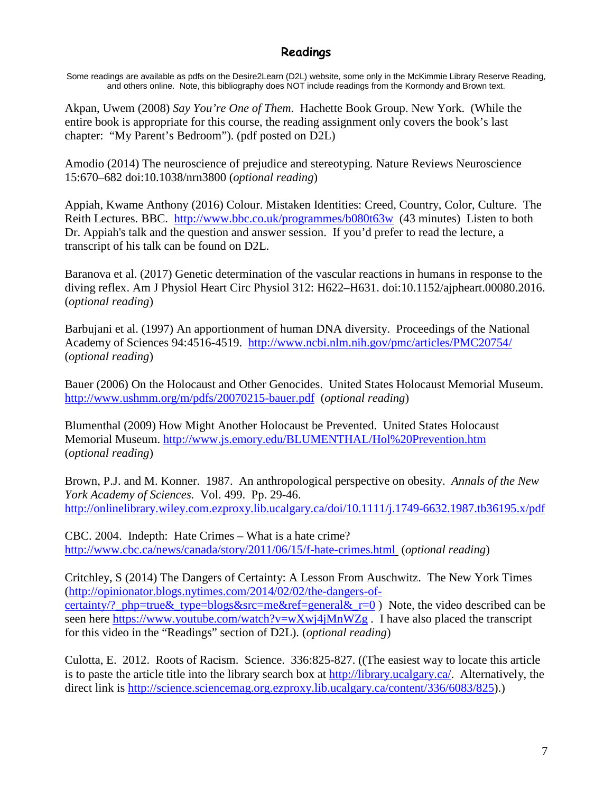### **Readings**

Some readings are available as pdfs on the Desire2Learn (D2L) website, some only in the McKimmie Library Reserve Reading, and others online. Note, this bibliography does NOT include readings from the Kormondy and Brown text.

Akpan, Uwem (2008) *Say You're One of Them*. Hachette Book Group. New York. (While the entire book is appropriate for this course, the reading assignment only covers the book's last chapter: "My Parent's Bedroom"). (pdf posted on D2L)

Amodio (2014) The neuroscience of prejudice and stereotyping. Nature Reviews Neuroscience 15:670–682 doi:10.1038/nrn3800 (*optional reading*)

Appiah, Kwame Anthony (2016) Colour. Mistaken Identities: Creed, Country, Color, Culture. The Reith Lectures. BBC. <http://www.bbc.co.uk/programmes/b080t63w> (43 minutes) Listen to both Dr. Appiah's talk and the question and answer session. If you'd prefer to read the lecture, a transcript of his talk can be found on D2L.

Baranova et al. (2017) Genetic determination of the vascular reactions in humans in response to the diving reflex. Am J Physiol Heart Circ Physiol 312: H622–H631. doi:10.1152/ajpheart.00080.2016. (*optional reading*)

Barbujani et al. (1997) An apportionment of human DNA diversity. Proceedings of the National Academy of Sciences 94:4516-4519. <http://www.ncbi.nlm.nih.gov/pmc/articles/PMC20754/> (*optional reading*)

Bauer (2006) On the Holocaust and Other Genocides. United States Holocaust Memorial Museum. <http://www.ushmm.org/m/pdfs/20070215-bauer.pdf> (*optional reading*)

Blumenthal (2009) How Might Another Holocaust be Prevented. United States Holocaust Memorial Museum.<http://www.js.emory.edu/BLUMENTHAL/Hol%20Prevention.htm> (*optional reading*)

Brown, P.J. and M. Konner. 1987. An anthropological perspective on obesity. *Annals of the New York Academy of Sciences.* Vol. 499. Pp. 29-46. <http://onlinelibrary.wiley.com.ezproxy.lib.ucalgary.ca/doi/10.1111/j.1749-6632.1987.tb36195.x/pdf>

CBC. 2004. Indepth: Hate Crimes – What is a hate crime? <http://www.cbc.ca/news/canada/story/2011/06/15/f-hate-crimes.html> (*optional reading*)

Critchley, S (2014) The Dangers of Certainty: A Lesson From Auschwitz. The New York Times [\(http://opinionator.blogs.nytimes.com/2014/02/02/the-dangers-of](http://opinionator.blogs.nytimes.com/2014/02/02/the-dangers-of-certainty/?_php=true&_type=blogs&src=me&ref=general&_r=0)[certainty/?\\_php=true&\\_type=blogs&src=me&ref=general&\\_r=0](http://opinionator.blogs.nytimes.com/2014/02/02/the-dangers-of-certainty/?_php=true&_type=blogs&src=me&ref=general&_r=0) ) Note, the video described can be seen here<https://www.youtube.com/watch?v=wXwj4jMnWZg>. I have also placed the transcript for this video in the "Readings" section of D2L). (*optional reading*)

Culotta, E. 2012. Roots of Racism. Science. 336:825-827. ((The easiest way to locate this article is to paste the article title into the library search box at [http://library.ucalgary.ca/.](http://library.ucalgary.ca/) Alternatively, the direct link is [http://science.sciencemag.org.ezproxy.lib.ucalgary.ca/content/336/6083/825\)](http://science.sciencemag.org.ezproxy.lib.ucalgary.ca/content/336/6083/825).)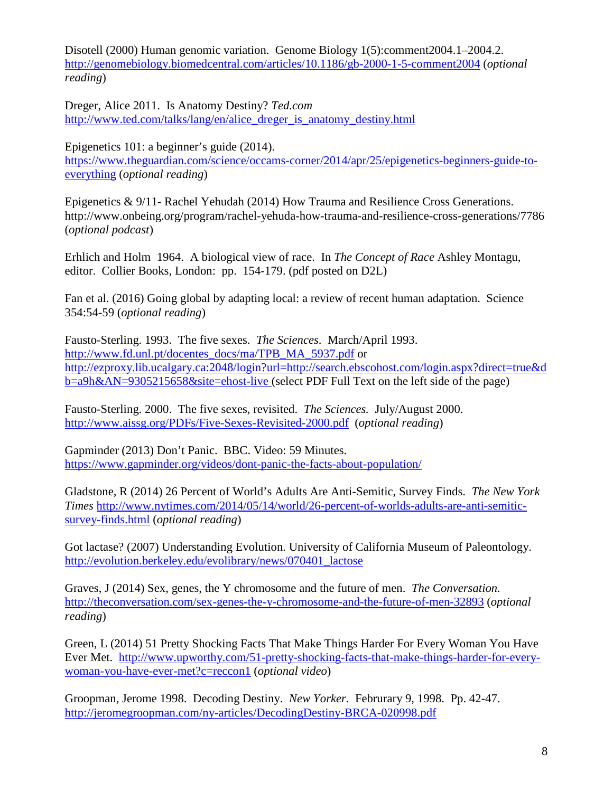Disotell (2000) Human genomic variation. Genome Biology 1(5):comment2004.1–2004.2. <http://genomebiology.biomedcentral.com/articles/10.1186/gb-2000-1-5-comment2004> (*optional reading*)

Dreger, Alice 2011. Is Anatomy Destiny? *Ted.com* [http://www.ted.com/talks/lang/en/alice\\_dreger\\_is\\_anatomy\\_destiny.html](http://www.ted.com/talks/lang/en/alice_dreger_is_anatomy_destiny.html)

Epigenetics 101: a beginner's guide (2014). [https://www.theguardian.com/science/occams-corner/2014/apr/25/epigenetics-beginners-guide-to](https://www.theguardian.com/science/occams-corner/2014/apr/25/epigenetics-beginners-guide-to-everything)[everything](https://www.theguardian.com/science/occams-corner/2014/apr/25/epigenetics-beginners-guide-to-everything) (*optional reading*)

Epigenetics & 9/11- Rachel Yehudah (2014) How Trauma and Resilience Cross Generations. http://www.onbeing.org/program/rachel-yehuda-how-trauma-and-resilience-cross-generations/7786 (*optional podcast*)

Erhlich and Holm 1964. A biological view of race. In *The Concept of Race* Ashley Montagu, editor. Collier Books, London: pp. 154-179. (pdf posted on D2L)

Fan et al. (2016) Going global by adapting local: a review of recent human adaptation. Science 354:54-59 (*optional reading*)

Fausto-Sterling. 1993. The five sexes. *The Sciences*. March/April 1993. [http://www.fd.unl.pt/docentes\\_docs/ma/TPB\\_MA\\_5937.pdf](http://www.fd.unl.pt/docentes_docs/ma/TPB_MA_5937.pdf) or [http://ezproxy.lib.ucalgary.ca:2048/login?url=http://search.ebscohost.com/login.aspx?direct=true&d](http://ezproxy.lib.ucalgary.ca:2048/login?url=http://search.ebscohost.com/login.aspx?direct=true&db=a9h&AN=9305215658&site=ehost-live) [b=a9h&AN=9305215658&site=ehost-live](http://ezproxy.lib.ucalgary.ca:2048/login?url=http://search.ebscohost.com/login.aspx?direct=true&db=a9h&AN=9305215658&site=ehost-live) (select PDF Full Text on the left side of the page)

Fausto-Sterling. 2000. The five sexes, revisited. *The Sciences.* July/August 2000. <http://www.aissg.org/PDFs/Five-Sexes-Revisited-2000.pdf>(*optional reading*)

Gapminder (2013) Don't Panic. BBC. Video: 59 Minutes. <https://www.gapminder.org/videos/dont-panic-the-facts-about-population/>

Gladstone, R (2014) 26 Percent of World's Adults Are Anti-Semitic, Survey Finds. *The New York Times* [http://www.nytimes.com/2014/05/14/world/26-percent-of-worlds-adults-are-anti-semitic](http://www.nytimes.com/2014/05/14/world/26-percent-of-worlds-adults-are-anti-semitic-survey-finds.html)[survey-finds.html](http://www.nytimes.com/2014/05/14/world/26-percent-of-worlds-adults-are-anti-semitic-survey-finds.html) (*optional reading*)

Got lactase? (2007) Understanding Evolution. University of California Museum of Paleontology. [http://evolution.berkeley.edu/evolibrary/news/070401\\_lactose](http://evolution.berkeley.edu/evolibrary/news/070401_lactose)

Graves, J (2014) Sex, genes, the Y chromosome and the future of men. *The Conversation.* <http://theconversation.com/sex-genes-the-y-chromosome-and-the-future-of-men-32893> (*optional reading*)

Green, L (2014) 51 Pretty Shocking Facts That Make Things Harder For Every Woman You Have Ever Met. [http://www.upworthy.com/51-pretty-shocking-facts-that-make-things-harder-for-every](http://www.upworthy.com/51-pretty-shocking-facts-that-make-things-harder-for-every-woman-you-have-ever-met?c=reccon1)[woman-you-have-ever-met?c=reccon1](http://www.upworthy.com/51-pretty-shocking-facts-that-make-things-harder-for-every-woman-you-have-ever-met?c=reccon1) (*optional video*)

Groopman, Jerome 1998. Decoding Destiny. *New Yorker.* Februrary 9, 1998. Pp. 42-47. <http://jeromegroopman.com/ny-articles/DecodingDestiny-BRCA-020998.pdf>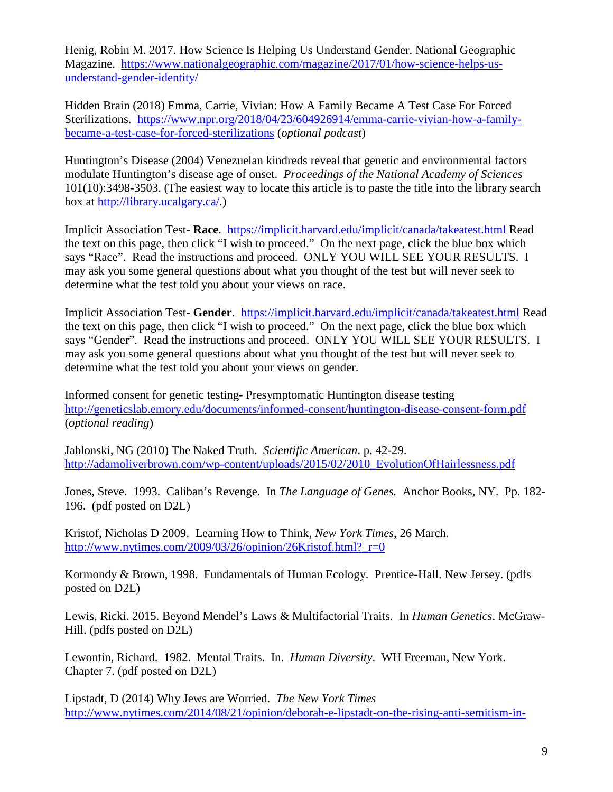Henig, Robin M. 2017. How Science Is Helping Us Understand Gender. National Geographic Magazine. [https://www.nationalgeographic.com/magazine/2017/01/how-science-helps-us](https://www.nationalgeographic.com/magazine/2017/01/how-science-helps-us-understand-gender-identity/)[understand-gender-identity/](https://www.nationalgeographic.com/magazine/2017/01/how-science-helps-us-understand-gender-identity/)

Hidden Brain (2018) Emma, Carrie, Vivian: How A Family Became A Test Case For Forced Sterilizations. [https://www.npr.org/2018/04/23/604926914/emma-carrie-vivian-how-a-family](https://www.npr.org/2018/04/23/604926914/emma-carrie-vivian-how-a-family-became-a-test-case-for-forced-sterilizations)[became-a-test-case-for-forced-sterilizations](https://www.npr.org/2018/04/23/604926914/emma-carrie-vivian-how-a-family-became-a-test-case-for-forced-sterilizations) (*optional podcast*)

Huntington's Disease (2004) Venezuelan kindreds reveal that genetic and environmental factors modulate Huntington's disease age of onset. *Proceedings of the National Academy of Sciences* 101(10):3498-3503. (The easiest way to locate this article is to paste the title into the library search box at [http://library.ucalgary.ca/.](http://library.ucalgary.ca/))

Implicit Association Test- **Race**. <https://implicit.harvard.edu/implicit/canada/takeatest.html> Read the text on this page, then click "I wish to proceed." On the next page, click the blue box which says "Race". Read the instructions and proceed. ONLY YOU WILL SEE YOUR RESULTS. I may ask you some general questions about what you thought of the test but will never seek to determine what the test told you about your views on race.

Implicit Association Test- **Gender**. <https://implicit.harvard.edu/implicit/canada/takeatest.html> Read the text on this page, then click "I wish to proceed." On the next page, click the blue box which says "Gender". Read the instructions and proceed. ONLY YOU WILL SEE YOUR RESULTS. I may ask you some general questions about what you thought of the test but will never seek to determine what the test told you about your views on gender.

Informed consent for genetic testing- Presymptomatic Huntington disease testing <http://geneticslab.emory.edu/documents/informed-consent/huntington-disease-consent-form.pdf> (*optional reading*)

Jablonski, NG (2010) The Naked Truth. *Scientific American*. p. 42-29. [http://adamoliverbrown.com/wp-content/uploads/2015/02/2010\\_EvolutionOfHairlessness.pdf](http://adamoliverbrown.com/wp-content/uploads/2015/02/2010_EvolutionOfHairlessness.pdf)

Jones, Steve. 1993. Caliban's Revenge. In *The Language of Genes.* Anchor Books, NY. Pp. 182- 196. (pdf posted on D2L)

Kristof, Nicholas D 2009. Learning How to Think, *New York Times*, 26 March. [http://www.nytimes.com/2009/03/26/opinion/26Kristof.html?\\_r=0](http://www.nytimes.com/2009/03/26/opinion/26Kristof.html?_r=0)

Kormondy & Brown, 1998. Fundamentals of Human Ecology. Prentice-Hall. New Jersey. (pdfs posted on D2L)

Lewis, Ricki. 2015. Beyond Mendel's Laws & Multifactorial Traits. In *Human Genetics*. McGraw-Hill. (pdfs posted on D2L)

Lewontin, Richard. 1982. Mental Traits. In. *Human Diversity*. WH Freeman, New York. Chapter 7. (pdf posted on D2L)

Lipstadt, D (2014) Why Jews are Worried. *The New York Times* [http://www.nytimes.com/2014/08/21/opinion/deborah-e-lipstadt-on-the-rising-anti-semitism-in-](http://www.nytimes.com/2014/08/21/opinion/deborah-e-lipstadt-on-the-rising-anti-semitism-in-europe.html?action=click&contentCollection=Opinion&module=RelatedCoverage®ion=Marginalia&pgtype=article)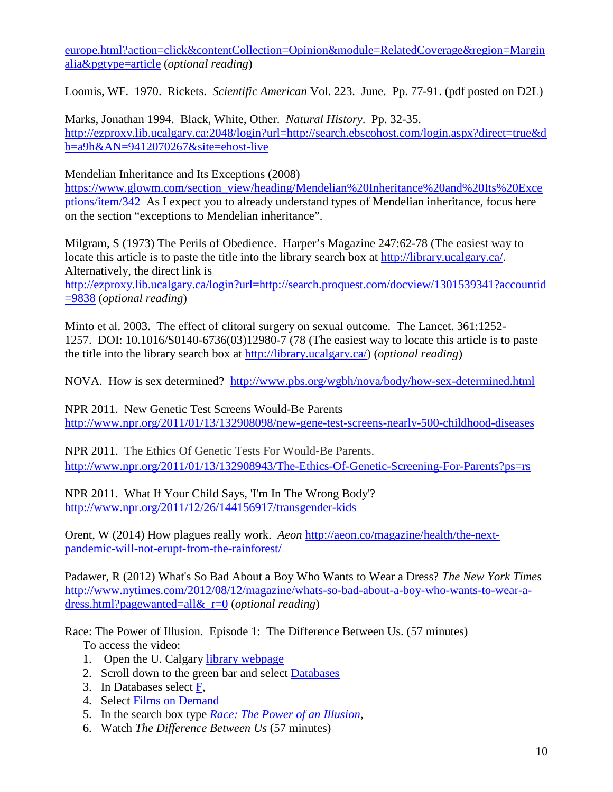[europe.html?action=click&contentCollection=Opinion&module=RelatedCoverage&region=Margin](http://www.nytimes.com/2014/08/21/opinion/deborah-e-lipstadt-on-the-rising-anti-semitism-in-europe.html?action=click&contentCollection=Opinion&module=RelatedCoverage®ion=Marginalia&pgtype=article) [alia&pgtype=article](http://www.nytimes.com/2014/08/21/opinion/deborah-e-lipstadt-on-the-rising-anti-semitism-in-europe.html?action=click&contentCollection=Opinion&module=RelatedCoverage®ion=Marginalia&pgtype=article) (*optional reading*)

Loomis, WF. 1970. Rickets. *Scientific American* Vol. 223. June. Pp. 77-91. (pdf posted on D2L)

Marks, Jonathan 1994. Black, White, Other. *Natural History*. Pp. 32-35. [http://ezproxy.lib.ucalgary.ca:2048/login?url=http://search.ebscohost.com/login.aspx?direct=true&d](http://ezproxy.lib.ucalgary.ca:2048/login?url=http://search.ebscohost.com/login.aspx?direct=true&db=a9h&AN=9412070267&site=ehost-live) [b=a9h&AN=9412070267&site=ehost-live](http://ezproxy.lib.ucalgary.ca:2048/login?url=http://search.ebscohost.com/login.aspx?direct=true&db=a9h&AN=9412070267&site=ehost-live)

Mendelian Inheritance and Its Exceptions (2008)

[https://www.glowm.com/section\\_view/heading/Mendelian%20Inheritance%20and%20Its%20Exce](https://www.glowm.com/section_view/heading/Mendelian%20Inheritance%20and%20Its%20Exceptions/item/342) [ptions/item/342](https://www.glowm.com/section_view/heading/Mendelian%20Inheritance%20and%20Its%20Exceptions/item/342) As I expect you to already understand types of Mendelian inheritance, focus here on the section "exceptions to Mendelian inheritance".

Milgram, S (1973) The Perils of Obedience. Harper's Magazine 247:62-78 (The easiest way to locate this article is to paste the title into the library search box at [http://library.ucalgary.ca/.](http://library.ucalgary.ca/) Alternatively, the direct link is

[http://ezproxy.lib.ucalgary.ca/login?url=http://search.proquest.com/docview/1301539341?accountid](http://ezproxy.lib.ucalgary.ca/login?url=http://search.proquest.com/docview/1301539341?accountid=9838) [=9838](http://ezproxy.lib.ucalgary.ca/login?url=http://search.proquest.com/docview/1301539341?accountid=9838) (*optional reading*)

Minto et al. 2003. The effect of clitoral surgery on sexual outcome. The Lancet. 361:1252- 1257. DOI: 10.1016/S0140-6736(03)12980-7 (78 (The easiest way to locate this article is to paste the title into the library search box at [http://library.ucalgary.ca/\)](http://library.ucalgary.ca/) (*optional reading*)

NOVA. How is sex determined? <http://www.pbs.org/wgbh/nova/body/how-sex-determined.html>

NPR 2011. New Genetic Test Screens Would-Be Parents <http://www.npr.org/2011/01/13/132908098/new-gene-test-screens-nearly-500-childhood-diseases>

NPR 2011. The Ethics Of Genetic Tests For Would-Be Parents. <http://www.npr.org/2011/01/13/132908943/The-Ethics-Of-Genetic-Screening-For-Parents?ps=rs>

NPR 2011. What If Your Child Says, 'I'm In The Wrong Body'? <http://www.npr.org/2011/12/26/144156917/transgender-kids>

Orent, W (2014) How plagues really work. *Aeon* [http://aeon.co/magazine/health/the-next](http://aeon.co/magazine/health/the-next-pandemic-will-not-erupt-from-the-rainforest/)[pandemic-will-not-erupt-from-the-rainforest/](http://aeon.co/magazine/health/the-next-pandemic-will-not-erupt-from-the-rainforest/)

Padawer, R (2012) What's So Bad About a Boy Who Wants to Wear a Dress? *The New York Times* [http://www.nytimes.com/2012/08/12/magazine/whats-so-bad-about-a-boy-who-wants-to-wear-a](http://www.nytimes.com/2012/08/12/magazine/whats-so-bad-about-a-boy-who-wants-to-wear-a-dress.html?pagewanted=all&_r=0)[dress.html?pagewanted=all&\\_r=0](http://www.nytimes.com/2012/08/12/magazine/whats-so-bad-about-a-boy-who-wants-to-wear-a-dress.html?pagewanted=all&_r=0) (*optional reading*)

Race: The Power of Illusion. Episode 1: The Difference Between Us. (57 minutes)

To access the video:

- 1. Open the U. Calgary [library webpage](http://library.ucalgary.ca/)
- 2. Scroll down to the green bar and select [Databases](https://library.ucalgary.ca/az.php?a=f)
- 3. In Databases select [F,](https://library.ucalgary.ca/az.php?a=f)
- 4. Select [Films on Demand](http://fod.infobase.com.ezproxy.lib.ucalgary.ca/p_Home.aspx)
- 5. In the search box type *[Race: The Power of an Illusion](http://fod.infobase.com.ezproxy.lib.ucalgary.ca/p_Search.aspx?bc=0&rd=a&q=Race%3A%20the%20power%20of%20an%20illusio)*,
- 6. Watch *The Difference Between Us* (57 minutes)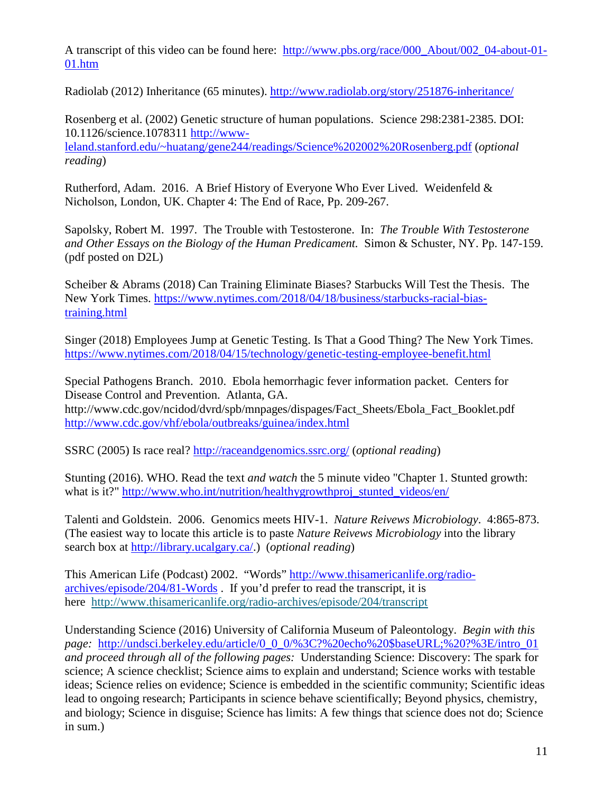A transcript of this video can be found here: [http://www.pbs.org/race/000\\_About/002\\_04-about-01-](http://www.pbs.org/race/000_About/002_04-about-01-01.htm) [01.htm](http://www.pbs.org/race/000_About/002_04-about-01-01.htm)

Radiolab (2012) Inheritance (65 minutes).<http://www.radiolab.org/story/251876-inheritance/>

Rosenberg et al. (2002) Genetic structure of human populations. Science 298:2381-2385. DOI: 10.1126/science.1078311 [http://www](http://www-leland.stanford.edu/%7Ehuatang/gene244/readings/Science%202002%20Rosenberg.pdf)[leland.stanford.edu/~huatang/gene244/readings/Science%202002%20Rosenberg.pdf](http://www-leland.stanford.edu/%7Ehuatang/gene244/readings/Science%202002%20Rosenberg.pdf) (*optional reading*)

Rutherford, Adam. 2016. A Brief History of Everyone Who Ever Lived. Weidenfeld & Nicholson, London, UK. Chapter 4: The End of Race, Pp. 209-267.

Sapolsky, Robert M. 1997. The Trouble with Testosterone. In: *The Trouble With Testosterone and Other Essays on the Biology of the Human Predicament.* Simon & Schuster, NY. Pp. 147-159. (pdf posted on D2L)

Scheiber & Abrams (2018) Can Training Eliminate Biases? Starbucks Will Test the Thesis. The New York Times. [https://www.nytimes.com/2018/04/18/business/starbucks-racial-bias](https://www.nytimes.com/2018/04/18/business/starbucks-racial-bias-training.html)[training.html](https://www.nytimes.com/2018/04/18/business/starbucks-racial-bias-training.html)

Singer (2018) Employees Jump at Genetic Testing. Is That a Good Thing? The New York Times. <https://www.nytimes.com/2018/04/15/technology/genetic-testing-employee-benefit.html>

Special Pathogens Branch. 2010. Ebola hemorrhagic fever information packet. Centers for Disease Control and Prevention. Atlanta, GA. http://www.cdc.gov/ncidod/dvrd/spb/mnpages/dispages/Fact\_Sheets/Ebola\_Fact\_Booklet.pdf <http://www.cdc.gov/vhf/ebola/outbreaks/guinea/index.html>

SSRC (2005) Is race real?<http://raceandgenomics.ssrc.org/> (*optional reading*)

Stunting (2016). WHO. Read the text *and watch* the 5 minute video "Chapter 1. Stunted growth: what is it?" [http://www.who.int/nutrition/healthygrowthproj\\_stunted\\_videos/en/](http://www.who.int/nutrition/healthygrowthproj_stunted_videos/en/)

Talenti and Goldstein. 2006. Genomics meets HIV-1. *Nature Reivews Microbiology*. 4:865-873. (The easiest way to locate this article is to paste *Nature Reivews Microbiology* into the library search box at [http://library.ucalgary.ca/.](http://library.ucalgary.ca/)) (*optional reading*)

This American Life (Podcast) 2002. "Words" [http://www.thisamericanlife.org/radio](http://www.thisamericanlife.org/radio-archives/episode/204/81-Words)[archives/episode/204/81-Words](http://www.thisamericanlife.org/radio-archives/episode/204/81-Words) . If you'd prefer to read the transcript, it is here <http://www.thisamericanlife.org/radio-archives/episode/204/transcript>

Understanding Science (2016) University of California Museum of Paleontology. *Begin with this page:* [http://undsci.berkeley.edu/article/0\\_0\\_0/%3C?%20echo%20\\$baseURL;%20?%3E/intro\\_01](http://undsci.berkeley.edu/article/0_0_0/%3C?%20echo%20$baseURL;%20?%3E/intro_01) *and proceed through all of the following pages:* Understanding Science: Discovery: The spark for science; A science checklist; Science aims to explain and understand; Science works with testable ideas; Science relies on evidence; Science is embedded in the scientific community; Scientific ideas lead to ongoing research; Participants in science behave scientifically; Beyond physics, chemistry, and biology; Science in disguise; Science has limits: A few things that science does not do; Science in sum.)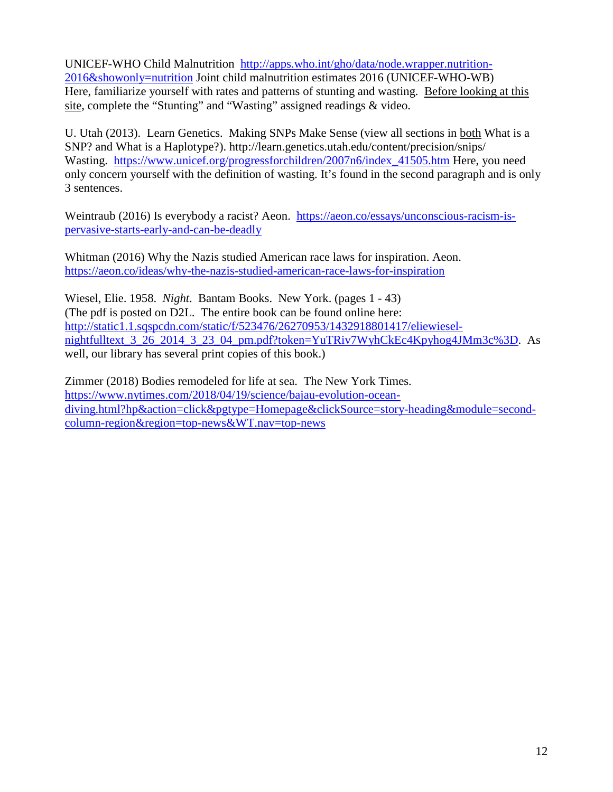UNICEF-WHO Child Malnutrition [http://apps.who.int/gho/data/node.wrapper.nutrition-](http://apps.who.int/gho/data/node.wrapper.nutrition-2016&showonly=nutrition)[2016&showonly=nutrition](http://apps.who.int/gho/data/node.wrapper.nutrition-2016&showonly=nutrition) Joint child malnutrition estimates 2016 (UNICEF-WHO-WB) Here, familiarize yourself with rates and patterns of stunting and wasting. Before looking at this site, complete the "Stunting" and "Wasting" assigned readings & video.

U. Utah (2013). Learn Genetics. Making SNPs Make Sense (view all sections in both What is a SNP? and What is a Haplotype?). http://learn.genetics.utah.edu/content/precision/snips/ Wasting. https://www.unicef.org/progressforchildren/2007n6/index 41505.htm Here, you need only concern yourself with the definition of wasting. It's found in the second paragraph and is only 3 sentences.

Weintraub (2016) Is everybody a racist? Aeon. [https://aeon.co/essays/unconscious-racism-is](https://aeon.co/essays/unconscious-racism-is-pervasive-starts-early-and-can-be-deadly)[pervasive-starts-early-and-can-be-deadly](https://aeon.co/essays/unconscious-racism-is-pervasive-starts-early-and-can-be-deadly)

Whitman (2016) Why the Nazis studied American race laws for inspiration. Aeon. <https://aeon.co/ideas/why-the-nazis-studied-american-race-laws-for-inspiration>

Wiesel, Elie. 1958. *Night*. Bantam Books. New York. (pages 1 - 43) (The pdf is posted on D2L. The entire book can be found online here: [http://static1.1.sqspcdn.com/static/f/523476/26270953/1432918801417/eliewiesel](http://static1.1.sqspcdn.com/static/f/523476/26270953/1432918801417/eliewiesel-nightfulltext_3_26_2014_3_23_04_pm.pdf?token=YuTRiv7WyhCkEc4Kpyhog4JMm3c%3D)[nightfulltext\\_3\\_26\\_2014\\_3\\_23\\_04\\_pm.pdf?token=YuTRiv7WyhCkEc4Kpyhog4JMm3c%3D.](http://static1.1.sqspcdn.com/static/f/523476/26270953/1432918801417/eliewiesel-nightfulltext_3_26_2014_3_23_04_pm.pdf?token=YuTRiv7WyhCkEc4Kpyhog4JMm3c%3D) As well, our library has several print copies of this book.)

Zimmer (2018) Bodies remodeled for life at sea. The New York Times. [https://www.nytimes.com/2018/04/19/science/bajau-evolution-ocean](https://www.nytimes.com/2018/04/19/science/bajau-evolution-ocean-diving.html?hp&action=click&pgtype=Homepage&clickSource=story-heading&module=second-column-region®ion=top-news&WT.nav=top-news)[diving.html?hp&action=click&pgtype=Homepage&clickSource=story-heading&module=second](https://www.nytimes.com/2018/04/19/science/bajau-evolution-ocean-diving.html?hp&action=click&pgtype=Homepage&clickSource=story-heading&module=second-column-region®ion=top-news&WT.nav=top-news)[column-region&region=top-news&WT.nav=top-news](https://www.nytimes.com/2018/04/19/science/bajau-evolution-ocean-diving.html?hp&action=click&pgtype=Homepage&clickSource=story-heading&module=second-column-region®ion=top-news&WT.nav=top-news)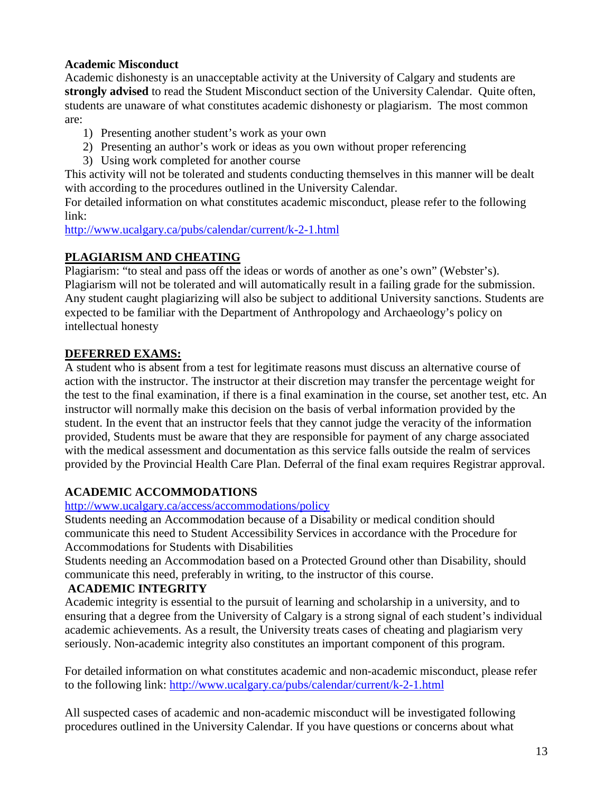#### **Academic Misconduct**

Academic dishonesty is an unacceptable activity at the University of Calgary and students are **strongly advised** to read the Student Misconduct section of the University Calendar. Quite often, students are unaware of what constitutes academic dishonesty or plagiarism. The most common are:

- 1) Presenting another student's work as your own
- 2) Presenting an author's work or ideas as you own without proper referencing
- 3) Using work completed for another course

This activity will not be tolerated and students conducting themselves in this manner will be dealt with according to the procedures outlined in the University Calendar.

For detailed information on what constitutes academic misconduct, please refer to the following link:

<http://www.ucalgary.ca/pubs/calendar/current/k-2-1.html>

### **PLAGIARISM AND CHEATING**

Plagiarism: "to steal and pass off the ideas or words of another as one's own" (Webster's). Plagiarism will not be tolerated and will automatically result in a failing grade for the submission. Any student caught plagiarizing will also be subject to additional University sanctions. Students are expected to be familiar with the Department of Anthropology and Archaeology's policy on intellectual honesty

#### **DEFERRED EXAMS:**

A student who is absent from a test for legitimate reasons must discuss an alternative course of action with the instructor. The instructor at their discretion may transfer the percentage weight for the test to the final examination, if there is a final examination in the course, set another test, etc. An instructor will normally make this decision on the basis of verbal information provided by the student. In the event that an instructor feels that they cannot judge the veracity of the information provided, Students must be aware that they are responsible for payment of any charge associated with the medical assessment and documentation as this service falls outside the realm of services provided by the Provincial Health Care Plan. Deferral of the final exam requires Registrar approval.

### **ACADEMIC ACCOMMODATIONS**

<http://www.ucalgary.ca/access/accommodations/policy>

Students needing an Accommodation because of a Disability or medical condition should communicate this need to Student Accessibility Services in accordance with the Procedure for Accommodations for Students with Disabilities

Students needing an Accommodation based on a Protected Ground other than Disability, should communicate this need, preferably in writing, to the instructor of this course.

### **ACADEMIC INTEGRITY**

Academic integrity is essential to the pursuit of learning and scholarship in a university, and to ensuring that a degree from the University of Calgary is a strong signal of each student's individual academic achievements. As a result, the University treats cases of cheating and plagiarism very seriously. Non-academic integrity also constitutes an important component of this program.

For detailed information on what constitutes academic and non-academic misconduct, please refer to the following link:<http://www.ucalgary.ca/pubs/calendar/current/k-2-1.html>

All suspected cases of academic and non-academic misconduct will be investigated following procedures outlined in the University Calendar. If you have questions or concerns about what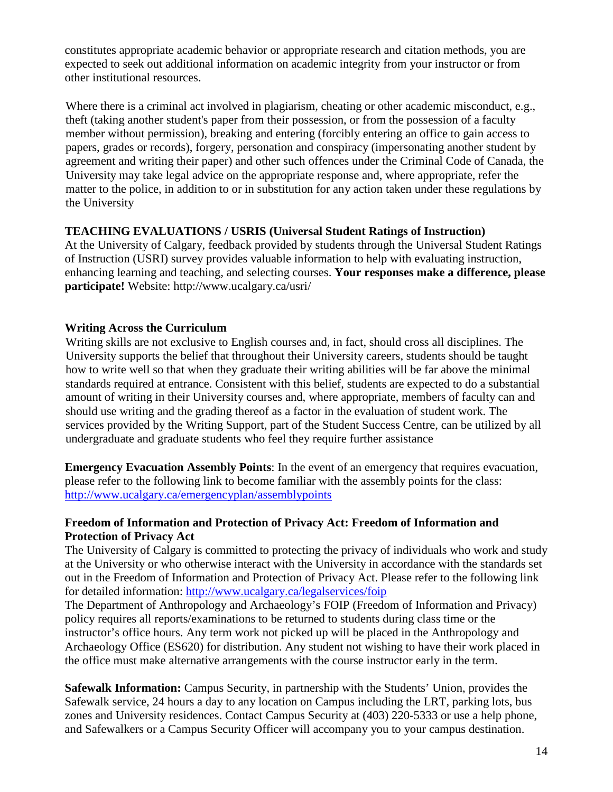constitutes appropriate academic behavior or appropriate research and citation methods, you are expected to seek out additional information on academic integrity from your instructor or from other institutional resources.

Where there is a criminal act involved in plagiarism, cheating or other academic misconduct, e.g., theft (taking another student's paper from their possession, or from the possession of a faculty member without permission), breaking and entering (forcibly entering an office to gain access to papers, grades or records), forgery, personation and conspiracy (impersonating another student by agreement and writing their paper) and other such offences under the Criminal Code of Canada, the University may take legal advice on the appropriate response and, where appropriate, refer the matter to the police, in addition to or in substitution for any action taken under these regulations by the University

#### **TEACHING EVALUATIONS / USRIS (Universal Student Ratings of Instruction)**

At the University of Calgary, feedback provided by students through the Universal Student Ratings of Instruction (USRI) survey provides valuable information to help with evaluating instruction, enhancing learning and teaching, and selecting courses. **Your responses make a difference, please participate!** Website: http://www.ucalgary.ca/usri/

#### **Writing Across the Curriculum**

Writing skills are not exclusive to English courses and, in fact, should cross all disciplines. The University supports the belief that throughout their University careers, students should be taught how to write well so that when they graduate their writing abilities will be far above the minimal standards required at entrance. Consistent with this belief, students are expected to do a substantial amount of writing in their University courses and, where appropriate, members of faculty can and should use writing and the grading thereof as a factor in the evaluation of student work. The services provided by the Writing Support, part of the Student Success Centre, can be utilized by all undergraduate and graduate students who feel they require further assistance

**Emergency Evacuation Assembly Points**: In the event of an emergency that requires evacuation, please refer to the following link to become familiar with the assembly points for the class: <http://www.ucalgary.ca/emergencyplan/assemblypoints>

#### **Freedom of Information and Protection of Privacy Act: Freedom of Information and Protection of Privacy Act**

The University of Calgary is committed to protecting the privacy of individuals who work and study at the University or who otherwise interact with the University in accordance with the standards set out in the Freedom of Information and Protection of Privacy Act. Please refer to the following link for detailed information:<http://www.ucalgary.ca/legalservices/foip>

The Department of Anthropology and Archaeology's FOIP (Freedom of Information and Privacy) policy requires all reports/examinations to be returned to students during class time or the instructor's office hours. Any term work not picked up will be placed in the Anthropology and Archaeology Office (ES620) for distribution. Any student not wishing to have their work placed in the office must make alternative arrangements with the course instructor early in the term.

**Safewalk Information:** Campus Security, in partnership with the Students' Union, provides the Safewalk service, 24 hours a day to any location on Campus including the LRT, parking lots, bus zones and University residences. Contact Campus Security at (403) 220-5333 or use a help phone, and Safewalkers or a Campus Security Officer will accompany you to your campus destination.